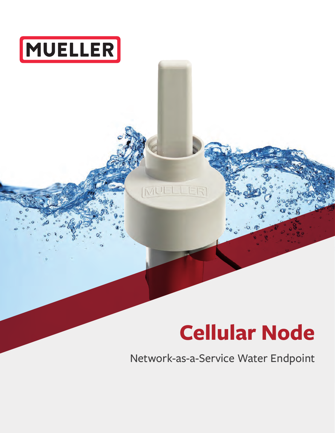

# **Cellular Node**

Network-as-a-Service Water Endpoint

[MUELLER]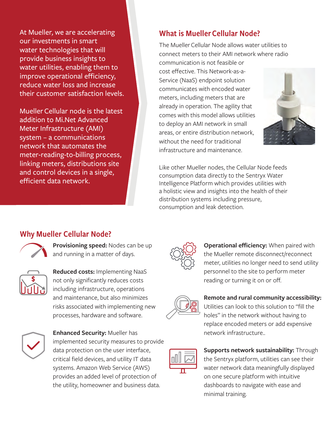At Mueller, we are accelerating our investments in smart water technologies that will provide business insights to water utilities, enabling them to improve operational efficiency, reduce water loss and increase their customer satisfaction levels.

MuellerCellular node is the latest addition to Mi.Net Advanced Meter Infrastructure (AMI) system – a communications network that automates the meter-reading-to-billing process, linking meters, distributions site and control devices in a single, efficient data network.

#### What is Mueller Cellular Node?

The MuellerCellular Node allows water utilities to connect meters to their AMI network where radio

communication is not feasible or cost effective. This Network-as-a-Service (NaaS) endpoint solution communicates with encoded water meters, including meters that are already in operation. The agility that comes with this model allows utilities to deploy an AMI network in small areas, or entire distribution network, without the need for traditional infrastructure and maintenance.



Like other Mueller nodes, the Cellular Node feeds consumption data directly to the Sentryx Water Intelligence Platform which provides utilities with a holistic view and insights into the health of their distribution systems including pressure, consumption and leak detection.

#### Why Mueller Cellular Node?



**Provisioning speed:** Nodes can be up and running in a matter of days.



**Reduced costs:** Implementing NaaS not only significantly reduces costs including infrastructure, operations and maintenance, but also minimizes risks associated with implementing new processes, hardware and software.



**Enhanced Security:** Mueller has implemented security measures to provide data protection on the user interface, critical field devices, and utility IT data systems. Amazon Web Service (AWS) provides an added level of protection of the utility, homeowner and business data.



**Operational efficiency:** When paired with the Mueller remote disconnect/reconnect meter, utilities no longer need to send utility personnel to the site to perform meter reading or turning it on or off.



## **Remote and rural community accessibility:**



Utilities can look to this solution to "fill the holes" in the network without having to replace encoded meters or add expensive network infrastructure..

**Supports network sustainability:** Through the Sentryx platform, utilities can see their water network data meaningfully displayed on one secure platform with intuitive dashboards to navigate with ease and minimal training.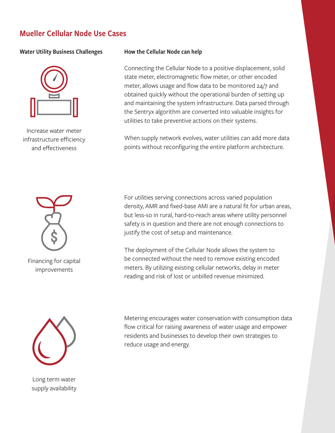#### Mueller Cellular Node Use Cases

#### Water Utility Business Challenges How the Cellular Node can help



Increase water meter infrastructure efficiency and effectiveness

Connecting the Cellular Node to a positive displacement, solid state meter, electromagnetic flow meter, or other encoded meter, allows usage and flow data to be monitored 24/7 and obtained quickly without the operational burden of setting up and maintaining the system infrastructure. Data parsed through the Sentryx algorithm are converted into valuable insights for utilities to take preventive actions on their systems.

When supply network evolves, water utilities can add more data points without reconfiguring the entire platform architecture.



Financing for capital improvements



Long term water supply availability For utilities serving connections across varied population density, AMR and fixed-base AMI are a natural fit for urban areas, but less-so in rural, hard-to-reach areas where utility personnel safety is in question and there are not enough connections to justify the cost of setup and maintenance.

The deployment of the Cellular Node allows the system to be connected without the need to remove existing encoded meters. By utilizing existing cellular networks, delay in meter reading and risk of lost or unbilled revenue minimized.

Metering encourages water conservation with consumption data flow critical for raising awareness of water usage and empower residents and businesses to develop their own strategies to reduce usage and energy.